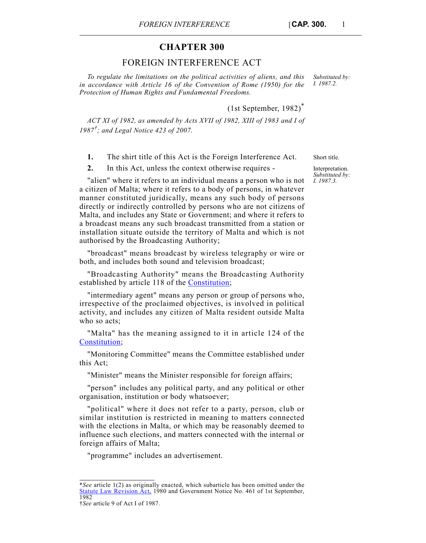## **CHAPTER 300**

## FOREIGN INTERFERENCE ACT

*To regulate the limitations on the political activities of aliens, and this in accordance with Article 16 of the Convention of Rome (1950) for the Protection of Human Rights and Fundamental Freedoms.*

(1st September, 1982)\*

*ACT XI of 1982, as amended by Acts XVII of 1982, XIII of 1983 and I of 1987†; and Legal Notice 423 of 2007.*

**1.** The shirt title of this Act is the Foreign Interference Act. Short title.

**2.** In this Act, unless the context otherwise requires -

"alien" where it refers to an individual means a person who is not a citizen of Malta; where it refers to a body of persons, in whatever manner constituted juridically, means any such body of persons directly or indirectly controlled by persons who are not citizens of Malta, and includes any State or Government; and where it refers to a broadcast means any such broadcast transmitted from a station or installation situate outside the territory of Malta and which is not authorised by the Broadcasting Authority;

"broadcast" means broadcast by wireless telegraphy or wire or both, and includes both sound and television broadcast;

"Broadcasting Authority" means the Broadcasting Authority established by article 118 of the [Constitution;](http://www.justiceservices.gov.mt/DownloadDocument.aspx?app=lom&itemid=8566&l=1)

"intermediary agent" means any person or group of persons who, irrespective of the proclaimed objectives, is involved in political activity, and includes any citizen of Malta resident outside Malta who so acts:

"Malta" has the meaning assigned to it in article 124 of the [Constitution](http://www.justiceservices.gov.mt/DownloadDocument.aspx?app=lom&itemid=8566&l=1);

"Monitoring Committee" means the Committee established under this Act;

"Minister" means the Minister responsible for foreign affairs;

"person" includes any political party, and any political or other organisation, institution or body whatsoever;

"political" where it does not refer to a party, person, club or similar institution is restricted in meaning to matters connected with the elections in Malta, or which may be reasonably deemed to influence such elections, and matters connected with the internal or foreign affairs of Malta;

"programme" includes an advertisement.

Interpretation. *Substituted by: I. 1987.3.*

*Substituted by: I. 1987.2.*

<sup>\*</sup>*See* article 1(2) as originally enacted, which subarticle has been omitted under the [Statute Law Revision Act,](http://www.justiceservices.gov.mt/DownloadDocument.aspx?app=lom&itemid=8565&l=1) 1980 and Government Notice No. 461 of 1st September, 1982

<sup>†</sup>*See* article 9 of Act I of 1987.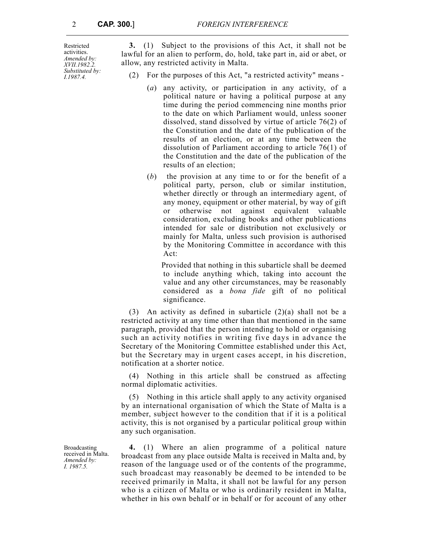Restricted activities. *Amended by: XVII.1982.2. Substituted by: I.1987.4.*

**3.** (1) Subject to the provisions of this Act, it shall not be lawful for an alien to perform, do, hold, take part in, aid or abet, or allow, any restricted activity in Malta.

- (2) For the purposes of this Act, "a restricted activity" means
	- (*a*) any activity, or participation in any activity, of a political nature or having a political purpose at any time during the period commencing nine months prior to the date on which Parliament would, unless sooner dissolved, stand dissolved by virtue of article 76(2) of the Constitution and the date of the publication of the results of an election, or at any time between the dissolution of Parliament according to article 76(1) of the Constitution and the date of the publication of the results of an election;
	- (*b*) the provision at any time to or for the benefit of a political party, person, club or similar institution, whether directly or through an intermediary agent, of any money, equipment or other material, by way of gift or otherwise not against equivalent valuable consideration, excluding books and other publications intended for sale or distribution not exclusively or mainly for Malta, unless such provision is authorised by the Monitoring Committee in accordance with this Act:

 Provided that nothing in this subarticle shall be deemed to include anything which, taking into account the value and any other circumstances, may be reasonably considered as a *bona fide* gift of no political significance.

(3) An activity as defined in subarticle (2)(a) shall not be a restricted activity at any time other than that mentioned in the same paragraph, provided that the person intending to hold or organising such an activity notifies in writing five days in advance the Secretary of the Monitoring Committee established under this Act, but the Secretary may in urgent cases accept, in his discretion, notification at a shorter notice.

(4) Nothing in this article shall be construed as affecting normal diplomatic activities.

(5) Nothing in this article shall apply to any activity organised by an international organisation of which the State of Malta is a member, subject however to the condition that if it is a political activity, this is not organised by a particular political group within any such organisation.

**4.** (1) Where an alien programme of a political nature broadcast from any place outside Malta is received in Malta and, by reason of the language used or of the contents of the programme, such broadcast may reasonably be deemed to be intended to be received primarily in Malta, it shall not be lawful for any person who is a citizen of Malta or who is ordinarily resident in Malta, whether in his own behalf or in behalf or for account of any other

Broadcasting received in Malta. *Amended by: I. 1987.5.*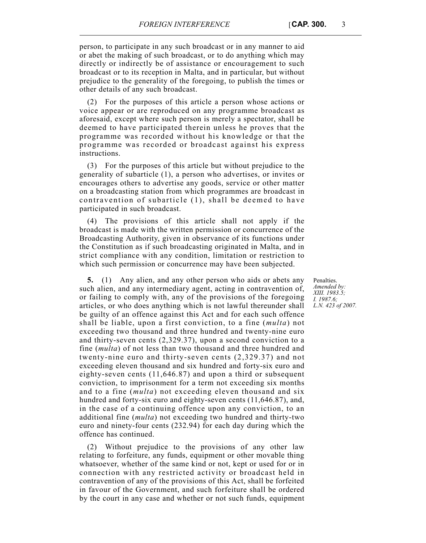person, to participate in any such broadcast or in any manner to aid or abet the making of such broadcast, or to do anything which may directly or indirectly be of assistance or encouragement to such broadcast or to its reception in Malta, and in particular, but without prejudice to the generality of the foregoing, to publish the times or other details of any such broadcast.

(2) For the purposes of this article a person whose actions or voice appear or are reproduced on any programme broadcast as aforesaid, except where such person is merely a spectator, shall be deemed to have participated therein unless he proves that the programme was recorded without his knowledge or that the programme was recorded or broadcast against his express instructions.

(3) For the purposes of this article but without prejudice to the generality of subarticle (1), a person who advertises, or invites or encourages others to advertise any goods, service or other matter on a broadcasting station from which programmes are broadcast in contravention of subarticle (1), shall be deemed to have participated in such broadcast.

(4) The provisions of this article shall not apply if the broadcast is made with the written permission or concurrence of the Broadcasting Authority, given in observance of its functions under the Constitution as if such broadcasting originated in Malta, and in strict compliance with any condition, limitation or restriction to which such permission or concurrence may have been subjected.

**5.** (1) Any alien, and any other person who aids or abets any such alien, and any intermediary agent, acting in contravention of, or failing to comply with, any of the provisions of the foregoing articles, or who does anything which is not lawful thereunder shall be guilty of an offence against this Act and for each such offence shall be liable, upon a first conviction, to a fine (*multa*) not exceeding two thousand and three hundred and twenty-nine euro and thirty-seven cents (2,329.37), upon a second conviction to a fine (*multa*) of not less than two thousand and three hundred and twenty-nine euro and thirty-seven cents (2,329.37) and not exceeding eleven thousand and six hundred and forty-six euro and eighty-seven cents (11,646.87) and upon a third or subsequent conviction, to imprisonment for a term not exceeding six months and to a fine (*multa*) not exceeding eleven thousand and six hundred and forty-six euro and eighty-seven cents (11,646.87), and, in the case of a continuing offence upon any conviction, to an additional fine (*multa*) not exceeding two hundred and thirty-two euro and ninety-four cents (232.94) for each day during which the offence has continued.

(2) Without prejudice to the provisions of any other law relating to forfeiture, any funds, equipment or other movable thing whatsoever, whether of the same kind or not, kept or used for or in connection with any restricted activity or broadcast held in contravention of any of the provisions of this Act, shall be forfeited in favour of the Government, and such forfeiture shall be ordered by the court in any case and whether or not such funds, equipment

Penalties. *Amended by: XIII. 1983.5; I. 1987.6; L.N. 423 of 2007.*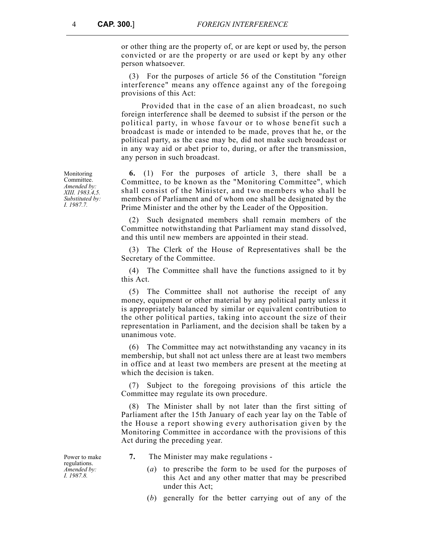or other thing are the property of, or are kept or used by, the person convicted or are the property or are used or kept by any other person whatsoever.

(3) For the purposes of article 56 of the Constitution "foreign interference" means any offence against any of the foregoing provisions of this Act:

Provided that in the case of an alien broadcast, no such foreign interference shall be deemed to subsist if the person or the political party, in whose favour or to whose benefit such a broadcast is made or intended to be made, proves that he, or the political party, as the case may be, did not make such broadcast or in any way aid or abet prior to, during, or after the transmission, any person in such broadcast.

**6.** (1) For the purposes of article 3, there shall be a Committee, to be known as the "Monitoring Committee", which shall consist of the Minister, and two members who shall be members of Parliament and of whom one shall be designated by the Prime Minister and the other by the Leader of the Opposition.

(2) Such designated members shall remain members of the Committee notwithstanding that Parliament may stand dissolved, and this until new members are appointed in their stead.

(3) The Clerk of the House of Representatives shall be the Secretary of the Committee.

(4) The Committee shall have the functions assigned to it by this Act.

(5) The Committee shall not authorise the receipt of any money, equipment or other material by any political party unless it is appropriately balanced by similar or equivalent contribution to the other political parties, taking into account the size of their representation in Parliament, and the decision shall be taken by a unanimous vote.

(6) The Committee may act notwithstanding any vacancy in its membership, but shall not act unless there are at least two members in office and at least two members are present at the meeting at which the decision is taken.

(7) Subject to the foregoing provisions of this article the Committee may regulate its own procedure.

(8) The Minister shall by not later than the first sitting of Parliament after the 15th January of each year lay on the Table of the House a report showing every authorisation given by the Monitoring Committee in accordance with the provisions of this Act during the preceding year.

**7.** The Minister may make regulations -

- (*a*) to prescribe the form to be used for the purposes of this Act and any other matter that may be prescribed under this Act;
- (*b*) generally for the better carrying out of any of the

Monitoring Committee. *Amended by: XIII. 1983.4,5. Substituted by: I. 1987.7.*

Power to make regulations. *Amended by: I. 1987.8.*